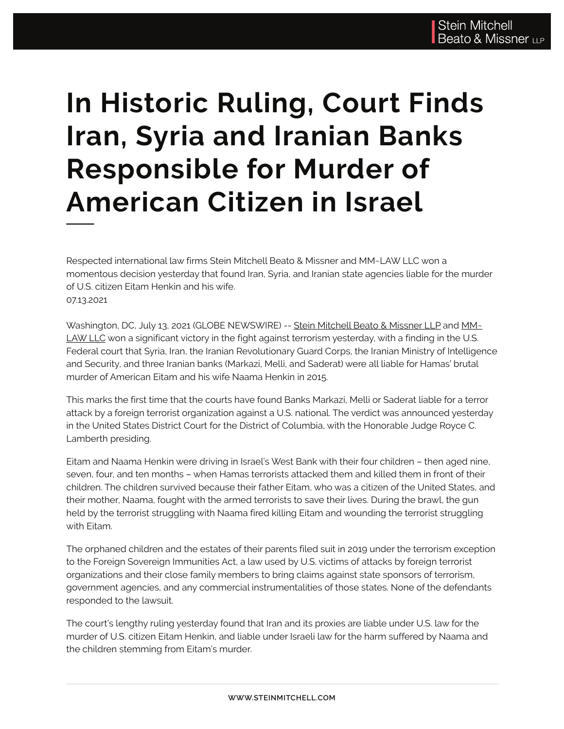## **In Historic Ruling, Court Finds Iran, Syria and Iranian Banks Responsible for Murder of American Citizen in Israel**

Respected international law firms Stein Mitchell Beato & Missner and MM~LAW LLC won a momentous decision yesterday that found Iran, Syria, and Iranian state agencies liable for the murder of U.S. citizen Eitam Henkin and his wife. 07.13.2021

Washington, DC, July 13, 2021 (GLOBE NEWSWIRE) -- Stein Mitchell Beato & Missner LLP and MM~ LAW LLC won a significant victory in the fight against terrorism yesterday, with a finding in the U.S. Federal court that Syria, Iran, the Iranian Revolutionary Guard Corps, the Iranian Ministry of Intelligence and Security, and three Iranian banks (Markazi, Melli, and Saderat) were all liable for Hamas' brutal murder of American Eitam and his wife Naama Henkin in 2015.

This marks the first time that the courts have found Banks Markazi, Melli or Saderat liable for a terror attack by a foreign terrorist organization against a U.S. national. The verdict was announced yesterday in the United States District Court for the District of Columbia, with the Honorable Judge Royce C. Lamberth presiding.

Eitam and Naama Henkin were driving in Israel's West Bank with their four children – then aged nine, seven, four, and ten months – when Hamas terrorists attacked them and killed them in front of their children. The children survived because their father Eitam, who was a citizen of the United States, and their mother, Naama, fought with the armed terrorists to save their lives. During the brawl, the gun held by the terrorist struggling with Naama fired killing Eitam and wounding the terrorist struggling with Eitam.

The orphaned children and the estates of their parents filed suit in 2019 under the terrorism exception to the Foreign Sovereign Immunities Act, a law used by U.S. victims of attacks by foreign terrorist organizations and their close family members to bring claims against state sponsors of terrorism, government agencies, and any commercial instrumentalities of those states. None of the defendants responded to the lawsuit.

The court's lengthy ruling yesterday found that Iran and its proxies are liable under U.S. law for the murder of U.S. citizen Eitam Henkin, and liable under Israeli law for the harm suffered by Naama and the children stemming from Eitam's murder.